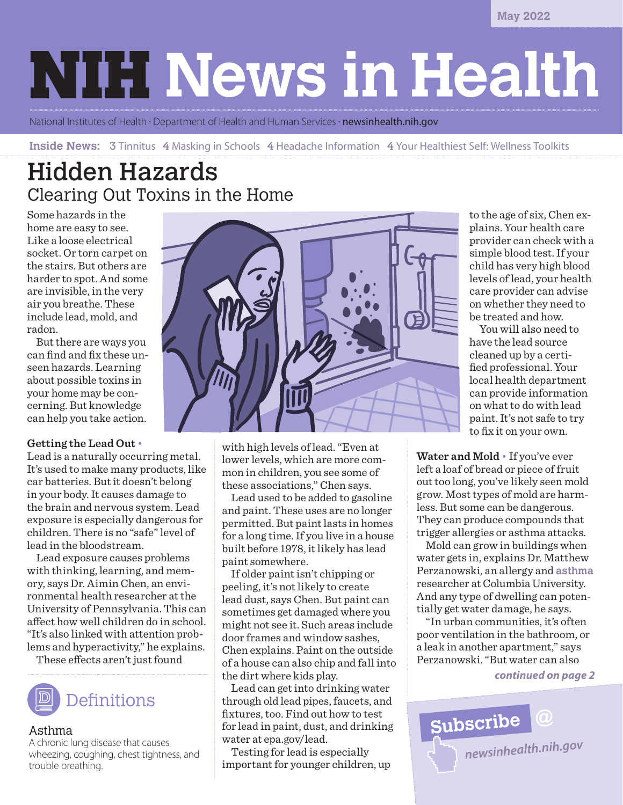**May 2022**

# **NIH News in Health**

National Institutes of Health · Department of Health and Human Services · **[newsinhealth.nih.gov](https://newsinhealth.nih.gov)** 

**Inside News:** 3 Tinnitus 4 Masking in Schools 4 Headache Information 4 Your Healthiest Self: Wellness Toolkits

## Hidden Hazards Clearing Out Toxins in the Home

Some hazards in the home are easy to see. Like a loose electrical socket. Or torn carpet on the stairs. But others are harder to spot. And some are invisible, in the very air you breathe. These include lead, mold, and radon.

But there are ways you can find and fix these unseen hazards. Learning about possible toxins in your home may be concerning. But knowledge can help you take action.

#### **Getting the Lead Out** •

Lead is a naturally occurring metal. It's used to make many products, like car batteries. But it doesn't belong in your body. It causes damage to the brain and nervous system. Lead exposure is especially dangerous for children. There is no "safe" level of lead in the bloodstream.

Lead exposure causes problems with thinking, learning, and memory, says Dr. Aimin Chen, an environmental health researcher at the University of Pennsylvania. This can affect how well children do in school. "It's also linked with attention problems and hyperactivity," he explains.

These effects aren't just found



#### Asthma

A chronic lung disease that causes wheezing, coughing, chest tightness, and trouble breathing.



with high levels of lead. "Even at lower levels, which are more common in children, you see some of these associations," Chen says.

Lead used to be added to gasoline and paint. These uses are no longer permitted. But paint lasts in homes for a long time. If you live in a house built before 1978, it likely has lead paint somewhere.

If older paint isn't chipping or peeling, it's not likely to create lead dust, says Chen. But paint can sometimes get damaged where you might not see it. Such areas include door frames and window sashes, Chen explains. Paint on the outside of a house can also chip and fall into the dirt where kids play.

Lead can get into drinking water through old lead pipes, faucets, and fixtures, too. Find out how to test for lead in paint, dust, and drinking water at [epa.gov/lead.](https://epa.gov/lead)

Testing for lead is especially important for younger children, up

to the age of six, Chen explains. Your health care provider can check with a simple blood test. If your child has very high blood levels of lead, your health care provider can advise on whether they need to be treated and how.

 You will also need to have the lead source cleaned up by a certified professional. Your local health department can provide information on what to do with lead paint. It's not safe to try to fix it on your own.

**Water and Mold** • If you've ever left a loaf of bread or piece of fruit out too long, you've likely seen mold grow. Most types of mold are harmless. But some can be dangerous. They can produce compounds that trigger allergies or asthma attacks.

Mold can grow in buildings when water gets in, explains Dr. Matthew Perzanowski, an allergy and **asthma** researcher at Columbia University. And any type of dwelling can potentially get water damage, he says.

"In urban communities, it's often poor ventilation in the bathroom, or a leak in another apartment," says Perzanowski. "But water can also

*continued on page 2*

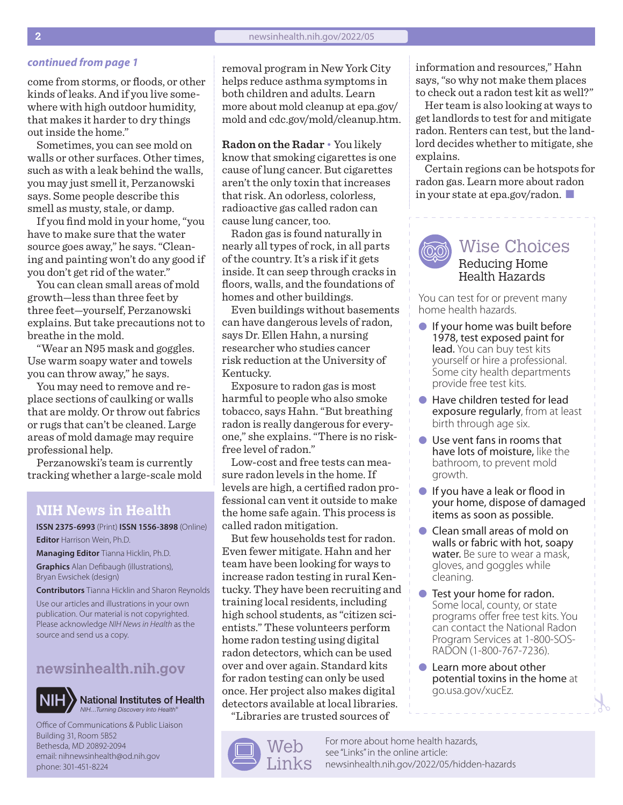come from storms, or floods, or other kinds of leaks. And if you live somewhere with high outdoor humidity, that makes it harder to dry things out inside the home."

Sometimes, you can see mold on walls or other surfaces. Other times, such as with a leak behind the walls, you may just smell it, Perzanowski says. Some people describe this smell as musty, stale, or damp.

If you find mold in your home, "you have to make sure that the water source goes away," he says. "Cleaning and painting won't do any good if you don't get rid of the water."

You can clean small areas of mold growth—less than three feet by three feet—yourself, Perzanowski explains. But take precautions not to breathe in the mold.

"Wear an N95 mask and goggles. Use warm soapy water and towels you can throw away," he says.

You may need to remove and replace sections of caulking or walls that are moldy. Or throw out fabrics or rugs that can't be cleaned. Large areas of mold damage may require professional help.

Perzanowski's team is currently tracking whether a large-scale mold

#### **NIH News in Health**

**ISSN 2375-6993** (Print) **ISSN 1556-3898** (Online) **Editor** Harrison Wein, Ph.D.

**Managing Editor** Tianna Hicklin, Ph.D. **Graphics** Alan Defibaugh (illustrations), Bryan Ewsichek (design)

**Contributors** Tianna Hicklin and Sharon Reynolds

Use our articles and illustrations in your own publication. Our material is not copyrighted. Please acknowledge *NIH News in Health* as the source and send us a copy.

### **[newsinhealth.nih.gov](https://newsinhealth.nih.gov)**



**National Institutes of Health** *NIH…Turning Discovery Into Health®*

Office of Communications & Public Liaison Building 31, Room 5B52 Bethesda, MD 20892-2094 email: nihnewsinhealth@od.nih.gov phone: 301-451-8224

**continued from page 1** removal program in New York City helps reduce asthma symptoms in both children and adults. Learn more about mold cleanup at [epa.gov/](https://epa.gov/mold) [mold](https://epa.gov/mold) and [cdc.gov/mold/cleanup.htm.](https://cdc.gov/mold/cleanup.htm)

> **Radon on the Radar** • You likely know that smoking cigarettes is one cause of lung cancer. But cigarettes aren't the only toxin that increases that risk. An odorless, colorless, radioactive gas called radon can cause lung cancer, too.

> Radon gas is found naturally in nearly all types of rock, in all parts of the country. It's a risk if it gets inside. It can seep through cracks in floors, walls, and the foundations of homes and other buildings.

Even buildings without basements can have dangerous levels of radon, says Dr. Ellen Hahn, a nursing researcher who studies cancer risk reduction at the University of Kentucky.

Exposure to radon gas is most harmful to people who also smoke tobacco, says Hahn. "But breathing radon is really dangerous for everyone," she explains. "There is no riskfree level of radon."

Low-cost and free tests can measure radon levels in the home. If levels are high, a certified radon professional can vent it outside to make the home safe again. This process is called radon mitigation.

But few households test for radon. Even fewer mitigate. Hahn and her team have been looking for ways to increase radon testing in rural Kentucky. They have been recruiting and training local residents, including high school students, as "citizen scientists." These volunteers perform home radon testing using digital radon detectors, which can be used over and over again. Standard kits for radon testing can only be used once. Her project also makes digital detectors available at local libraries.

"Libraries are trusted sources of



information and resources," Hahn says, "so why not make them places to check out a radon test kit as well?"

Her team is also looking at ways to get landlords to test for and mitigate radon. Renters can test, but the landlord decides whether to mitigate, she explains.

Certain regions can be hotspots for radon gas. Learn more about radon in your state at [epa.gov/radon.](https://www.epa.gov/radon)  $\blacksquare$ 



#### Wise Choices Reducing Home Health Hazards

You can test for or prevent many home health hazards.

- $\bullet$  If your home was built before 1978, test exposed paint for lead. You can buy test kits yourself or hire a professional. Some city health departments provide free test kits.
- Have children tested for lead exposure regularly, from at least birth through age six.
- $\bullet$  Use vent fans in rooms that have lots of moisture, like the bathroom, to prevent mold growth.
- $\bullet$  If you have a leak or flood in your home, dispose of damaged items as soon as possible.
- **Clean small areas of mold on** walls or fabric with hot, soapy water. Be sure to wear a mask, gloves, and goggles while cleaning.
- **l** Test your home for radon. Some local, county, or state programs offer free test kits. You can contact the National Radon Program Services at 1-800-SOS-RADON (1-800-767-7236).
- Learn more about other potential toxins in the home at [go.usa.gov/xucEz.](https://go.usa.gov/xucEz)

For more about home health hazards, see "Links" in the online article: [newsinhealth.nih.gov/2022/05/](https://newsinhealth.nih.gov/2022/05/hidden-hazards)hidden-hazards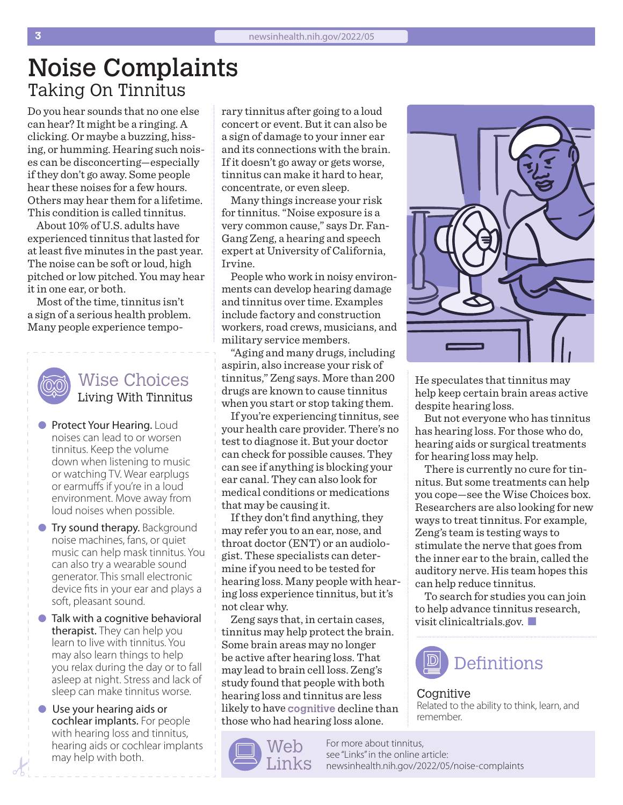## Noise Complaints Taking On Tinnitus

Do you hear sounds that no one else can hear? It might be a ringing. A clicking. Or maybe a buzzing, hissing, or humming. Hearing such noises can be disconcerting—especially if they don't go away. Some people hear these noises for a few hours. Others may hear them for a lifetime. This condition is called tinnitus.

About 10% of U.S. adults have experienced tinnitus that lasted for at least five minutes in the past year. The noise can be soft or loud, high pitched or low pitched. You may hear it in one ear, or both.

Most of the time, tinnitus isn't a sign of a serious health problem. Many people experience tempo-



### Wise Choices Living With Tinnitus

- **Protect Your Hearing. Loud** noises can lead to or worsen tinnitus. Keep the volume down when listening to music or watching TV. Wear earplugs or earmuffs if you're in a loud environment. Move away from loud noises when possible.
- **Try sound therapy.** Background noise machines, fans, or quiet music can help mask tinnitus. You can also try a wearable sound generator. This small electronic device fits in your ear and plays a soft, pleasant sound.
- $\bullet$  Talk with a cognitive behavioral therapist. They can help you learn to live with tinnitus. You may also learn things to help you relax during the day or to fall asleep at night. Stress and lack of sleep can make tinnitus worse.
- **I** Use your hearing aids or cochlear implants. For people with hearing loss and tinnitus, hearing aids or cochlear implants may help with both.

rary tinnitus after going to a loud concert or event. But it can also be a sign of damage to your inner ear and its connections with the brain. If it doesn't go away or gets worse, tinnitus can make it hard to hear, concentrate, or even sleep.

Many things increase your risk for tinnitus. "Noise exposure is a very common cause," says Dr. Fan-Gang Zeng, a hearing and speech expert at University of California, Irvine.

People who work in noisy environments can develop hearing damage and tinnitus over time. Examples include factory and construction workers, road crews, musicians, and military service members.

"Aging and many drugs, including aspirin, also increase your risk of tinnitus," Zeng says. More than 200 drugs are known to cause tinnitus when you start or stop taking them.

If you're experiencing tinnitus, see your health care provider. There's no test to diagnose it. But your doctor can check for possible causes. They can see if anything is blocking your ear canal. They can also look for medical conditions or medications that may be causing it.

If they don't find anything, they may refer you to an ear, nose, and throat doctor (ENT) or an audiologist. These specialists can determine if you need to be tested for hearing loss. Many people with hearing loss experience tinnitus, but it's not clear why.

Zeng says that, in certain cases, tinnitus may help protect the brain. Some brain areas may no longer be active after hearing loss. That may lead to brain cell loss. Zeng's study found that people with both hearing loss and tinnitus are less likely to have **cognitive** decline than those who had hearing loss alone.





He speculates that tinnitus may help keep certain brain areas active despite hearing loss.

But not everyone who has tinnitus has hearing loss. For those who do, hearing aids or surgical treatments for hearing loss may help.

There is currently no cure for tinnitus. But some treatments can help you cope—see the Wise Choices box. Researchers are also looking for new ways to treat tinnitus. For example, Zeng's team is testing ways to stimulate the nerve that goes from the inner ear to the brain, called the auditory nerve. His team hopes this can help reduce tinnitus.

To search for studies you can join to help advance tinnitus research, visit [clinicaltrials.gov](https://clinicaltrials.gov/).  $\Box$ 



#### Cognitive Related to the ability to think, learn, and remember.

For more about tinnitus, see "Links" in the online article: [newsinhealth.nih.gov/20](https://newsinhealth.nih.gov/2022/05/noise-complaints)22/05/noise-complaints